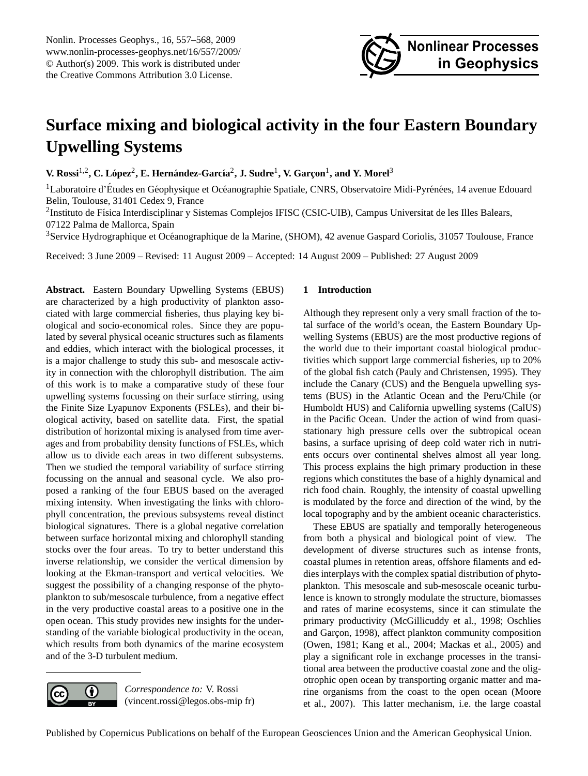

# <span id="page-0-0"></span>**Surface mixing and biological activity in the four Eastern Boundary Upwelling Systems**

 $V$ **. Rossi<sup>1,2</sup>, C. López** $^2$ **, E. Hernández-García** $^2$ **, J. Sudre** $^1$ **, V. Garçon** $^1$ **, and Y. Morel** $^3$ 

<sup>1</sup>Laboratoire d'Études en Géophysique et Océanographie Spatiale, CNRS, Observatoire Midi-Pyrénées, 14 avenue Edouard Belin, Toulouse, 31401 Cedex 9, France

<sup>2</sup>Instituto de Física Interdisciplinar y Sistemas Complejos IFISC (CSIC-UIB), Campus Universitat de les Illes Balears, 07122 Palma de Mallorca, Spain

<sup>3</sup>Service Hydrographique et Oceanographique de la Marine, (SHOM), 42 avenue Gaspard Coriolis, 31057 Toulouse, France ´

Received: 3 June 2009 – Revised: 11 August 2009 – Accepted: 14 August 2009 – Published: 27 August 2009

**Abstract.** Eastern Boundary Upwelling Systems (EBUS) are characterized by a high productivity of plankton associated with large commercial fisheries, thus playing key biological and socio-economical roles. Since they are populated by several physical oceanic structures such as filaments and eddies, which interact with the biological processes, it is a major challenge to study this sub- and mesoscale activity in connection with the chlorophyll distribution. The aim of this work is to make a comparative study of these four upwelling systems focussing on their surface stirring, using the Finite Size Lyapunov Exponents (FSLEs), and their biological activity, based on satellite data. First, the spatial distribution of horizontal mixing is analysed from time averages and from probability density functions of FSLEs, which allow us to divide each areas in two different subsystems. Then we studied the temporal variability of surface stirring focussing on the annual and seasonal cycle. We also proposed a ranking of the four EBUS based on the averaged mixing intensity. When investigating the links with chlorophyll concentration, the previous subsystems reveal distinct biological signatures. There is a global negative correlation between surface horizontal mixing and chlorophyll standing stocks over the four areas. To try to better understand this inverse relationship, we consider the vertical dimension by looking at the Ekman-transport and vertical velocities. We suggest the possibility of a changing response of the phytoplankton to sub/mesoscale turbulence, from a negative effect in the very productive coastal areas to a positive one in the open ocean. This study provides new insights for the understanding of the variable biological productivity in the ocean, which results from both dynamics of the marine ecosystem and of the 3-D turbulent medium.

## **1 Introduction**

Although they represent only a very small fraction of the total surface of the world's ocean, the Eastern Boundary Upwelling Systems (EBUS) are the most productive regions of the world due to their important coastal biological productivities which support large commercial fisheries, up to 20% of the global fish catch [\(Pauly and Christensen, 1995\)](#page-11-0). They include the Canary (CUS) and the Benguela upwelling systems (BUS) in the Atlantic Ocean and the Peru/Chile (or Humboldt HUS) and California upwelling systems (CalUS) in the Pacific Ocean. Under the action of wind from quasistationary high pressure cells over the subtropical ocean basins, a surface uprising of deep cold water rich in nutrients occurs over continental shelves almost all year long. This process explains the high primary production in these regions which constitutes the base of a highly dynamical and rich food chain. Roughly, the intensity of coastal upwelling is modulated by the force and direction of the wind, by the local topography and by the ambient oceanic characteristics.

These EBUS are spatially and temporally heterogeneous from both a physical and biological point of view. The development of diverse structures such as intense fronts, coastal plumes in retention areas, offshore filaments and eddies interplays with the complex spatial distribution of phytoplankton. This mesoscale and sub-mesoscale oceanic turbulence is known to strongly modulate the structure, biomasses and rates of marine ecosystems, since it can stimulate the primary productivity [\(McGillicuddy et al., 1998;](#page-10-0) [Oschlies](#page-10-1) and Garçon, 1998), affect plankton community composition [\(Owen, 1981;](#page-11-1) [Kang et al., 2004;](#page-10-2) [Mackas et al., 2005\)](#page-10-3) and play a significant role in exchange processes in the transitional area between the productive coastal zone and the oligotrophic open ocean by transporting organic matter and marine organisms from the coast to the open ocean [\(Moore](#page-10-4) [et al., 2007\)](#page-10-4). This latter mechanism, i.e. the large coastal

*Correspondence to:* V. Rossi (vincent.rossi@legos.obs-mip fr)

0

(cc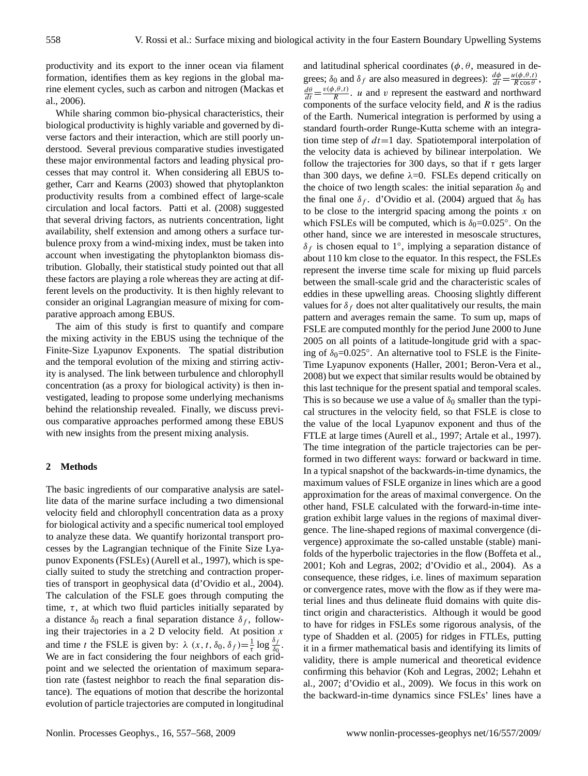productivity and its export to the inner ocean via filament formation, identifies them as key regions in the global marine element cycles, such as carbon and nitrogen [\(Mackas et](#page-10-5) [al., 2006\)](#page-10-5).

While sharing common bio-physical characteristics, their biological productivity is highly variable and governed by diverse factors and their interaction, which are still poorly understood. Several previous comparative studies investigated these major environmental factors and leading physical processes that may control it. When considering all EBUS together, [Carr and Kearns \(2003\)](#page-10-6) showed that phytoplankton productivity results from a combined effect of large-scale circulation and local factors. [Patti et al. \(2008\)](#page-11-2) suggested that several driving factors, as nutrients concentration, light availability, shelf extension and among others a surface turbulence proxy from a wind-mixing index, must be taken into account when investigating the phytoplankton biomass distribution. Globally, their statistical study pointed out that all these factors are playing a role whereas they are acting at different levels on the productivity. It is then highly relevant to consider an original Lagrangian measure of mixing for comparative approach among EBUS.

The aim of this study is first to quantify and compare the mixing activity in the EBUS using the technique of the Finite-Size Lyapunov Exponents. The spatial distribution and the temporal evolution of the mixing and stirring activity is analysed. The link between turbulence and chlorophyll concentration (as a proxy for biological activity) is then investigated, leading to propose some underlying mechanisms behind the relationship revealed. Finally, we discuss previous comparative approaches performed among these EBUS with new insights from the present mixing analysis.

## **2 Methods**

The basic ingredients of our comparative analysis are satellite data of the marine surface including a two dimensional velocity field and chlorophyll concentration data as a proxy for biological activity and a specific numerical tool employed to analyze these data. We quantify horizontal transport processes by the Lagrangian technique of the Finite Size Lyapunov Exponents (FSLEs) [\(Aurell et al., 1997\)](#page-10-7), which is specially suited to study the stretching and contraction properties of transport in geophysical data [\(d'Ovidio et al., 2004\)](#page-10-8). The calculation of the FSLE goes through computing the time,  $\tau$ , at which two fluid particles initially separated by a distance  $\delta_0$  reach a final separation distance  $\delta_f$ , following their trajectories in a 2 D velocity field. At position  $x$ and time t the FSLE is given by:  $\lambda$   $(x, t, \delta_0, \delta_f) = \frac{1}{\tau} \log \frac{\delta_f}{\delta_0}$ . We are in fact considering the four neighbors of each gridpoint and we selected the orientation of maximum separation rate (fastest neighbor to reach the final separation distance). The equations of motion that describe the horizontal evolution of particle trajectories are computed in longitudinal and latitudinal spherical coordinates ( $\phi$ ,  $\theta$ , measured in degrees;  $\delta_0$  and  $\delta_f$  are also measured in degrees):  $\frac{d\phi}{dt} = \frac{u(\phi, \theta, t)}{R \cos \theta}$  $\frac{\mu(\varphi,\sigma,\iota)}{R\cos\theta}$ ,  $\frac{d\theta}{dt} = \frac{v(\phi, \theta, t)}{R}$  $\frac{u_1, u_2, u_3}{R}$ . *u* and *v* represent the eastward and northward components of the surface velocity field, and  $R$  is the radius of the Earth. Numerical integration is performed by using a standard fourth-order Runge-Kutta scheme with an integration time step of  $dt=1$  day. Spatiotemporal interpolation of the velocity data is achieved by bilinear interpolation. We follow the trajectories for 300 days, so that if  $\tau$  gets larger than 300 days, we define  $\lambda = 0$ . FSLEs depend critically on the choice of two length scales: the initial separation  $\delta_0$  and the final one  $\delta_f$ . [d'Ovidio et al. \(2004\)](#page-10-8) argued that  $\delta_0$  has to be close to the intergrid spacing among the points  $x$  on which FSLEs will be computed, which is  $\delta_0 = 0.025$ °. On the other hand, since we are interested in mesoscale structures,  $\delta_f$  is chosen equal to 1°, implying a separation distance of about 110 km close to the equator. In this respect, the FSLEs represent the inverse time scale for mixing up fluid parcels between the small-scale grid and the characteristic scales of eddies in these upwelling areas. Choosing slightly different values for  $\delta_f$  does not alter qualitatively our results, the main pattern and averages remain the same. To sum up, maps of FSLE are computed monthly for the period June 2000 to June 2005 on all points of a latitude-longitude grid with a spacing of  $\delta_0 = 0.025^\circ$ . An alternative tool to FSLE is the Finite-Time Lyapunov exponents [\(Haller, 2001;](#page-10-9) [Beron-Vera et al.,](#page-10-10) [2008\)](#page-10-10) but we expect that similar results would be obtained by this last technique for the present spatial and temporal scales. This is so because we use a value of  $\delta_0$  smaller than the typical structures in the velocity field, so that FSLE is close to the value of the local Lyapunov exponent and thus of the FTLE at large times [\(Aurell et al., 1997;](#page-10-7) [Artale et al., 1997\)](#page-10-11). The time integration of the particle trajectories can be performed in two different ways: forward or backward in time. In a typical snapshot of the backwards-in-time dynamics, the maximum values of FSLE organize in lines which are a good approximation for the areas of maximal convergence. On the other hand, FSLE calculated with the forward-in-time integration exhibit large values in the regions of maximal divergence. The line-shaped regions of maximal convergence (divergence) approximate the so-called unstable (stable) manifolds of the hyperbolic trajectories in the flow [\(Boffeta et al.,](#page-10-12) [2001;](#page-10-12) [Koh and Legras, 2002;](#page-10-13) [d'Ovidio et al., 2004\)](#page-10-8). As a consequence, these ridges, i.e. lines of maximum separation or convergence rates, move with the flow as if they were material lines and thus delineate fluid domains with quite distinct origin and characteristics. Although it would be good to have for ridges in FSLEs some rigorous analysis, of the type of [Shadden et al. \(2005\)](#page-11-3) for ridges in FTLEs, putting it in a firmer mathematical basis and identifying its limits of validity, there is ample numerical and theoretical evidence confirming this behavior [\(Koh and Legras, 2002;](#page-10-13) [Lehahn et](#page-10-14) [al., 2007;](#page-10-14) [d'Ovidio et al., 2009\)](#page-10-15). We focus in this work on the backward-in-time dynamics since FSLEs' lines have a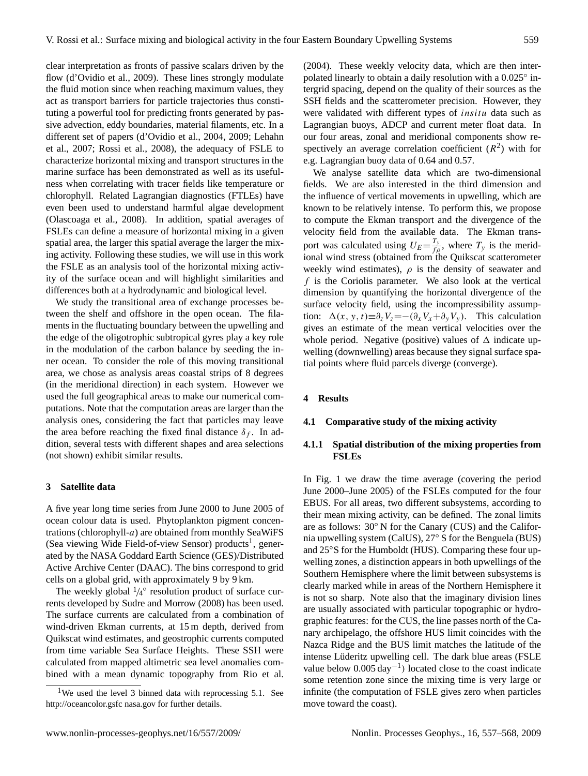clear interpretation as fronts of passive scalars driven by the flow [\(d'Ovidio et al., 2009\)](#page-10-15). These lines strongly modulate the fluid motion since when reaching maximum values, they act as transport barriers for particle trajectories thus constituting a powerful tool for predicting fronts generated by passive advection, eddy boundaries, material filaments, etc. In a different set of papers [\(d'Ovidio et al., 2004,](#page-10-8) [2009;](#page-10-15) [Lehahn](#page-10-14) [et al., 2007;](#page-10-14) [Rossi et al., 2008\)](#page-11-4), the adequacy of FSLE to characterize horizontal mixing and transport structures in the marine surface has been demonstrated as well as its usefulness when correlating with tracer fields like temperature or chlorophyll. Related Lagrangian diagnostics (FTLEs) have even been used to understand harmful algae development [\(Olascoaga et al., 2008\)](#page-10-16). In addition, spatial averages of FSLEs can define a measure of horizontal mixing in a given spatial area, the larger this spatial average the larger the mixing activity. Following these studies, we will use in this work the FSLE as an analysis tool of the horizontal mixing activity of the surface ocean and will highlight similarities and differences both at a hydrodynamic and biological level.

We study the transitional area of exchange processes between the shelf and offshore in the open ocean. The filaments in the fluctuating boundary between the upwelling and the edge of the oligotrophic subtropical gyres play a key role in the modulation of the carbon balance by seeding the inner ocean. To consider the role of this moving transitional area, we chose as analysis areas coastal strips of 8 degrees (in the meridional direction) in each system. However we used the full geographical areas to make our numerical computations. Note that the computation areas are larger than the analysis ones, considering the fact that particles may leave the area before reaching the fixed final distance  $\delta_f$ . In addition, several tests with different shapes and area selections (not shown) exhibit similar results.

#### **3 Satellite data**

A five year long time series from June 2000 to June 2005 of ocean colour data is used. Phytoplankton pigment concentrations (chlorophyll-a) are obtained from monthly SeaWiFS (Sea viewing Wide Field-of-view Sensor) products<sup>[1](#page-2-0)</sup>, generated by the NASA Goddard Earth Science (GES)/Distributed Active Archive Center (DAAC). The bins correspond to grid cells on a global grid, with approximately 9 by 9 km.

The weekly global  $\frac{1}{4}$ ° resolution product of surface currents developed by [Sudre and Morrow \(2008\)](#page-11-5) has been used. The surface currents are calculated from a combination of wind-driven Ekman currents, at 15 m depth, derived from Quikscat wind estimates, and geostrophic currents computed from time variable Sea Surface Heights. These SSH were calculated from mapped altimetric sea level anomalies combined with a mean dynamic topography from [Rio et al.](#page-11-6) [\(2004\)](#page-11-6). These weekly velocity data, which are then interpolated linearly to obtain a daily resolution with a 0.025° intergrid spacing, depend on the quality of their sources as the SSH fields and the scatterometer precision. However, they were validated with different types of insitu data such as Lagrangian buoys, ADCP and current meter float data. In our four areas, zonal and meridional components show respectively an average correlation coefficient  $(R^2)$  with for e.g. Lagrangian buoy data of 0.64 and 0.57.

We analyse satellite data which are two-dimensional fields. We are also interested in the third dimension and the influence of vertical movements in upwelling, which are known to be relatively intense. To perform this, we propose to compute the Ekman transport and the divergence of the velocity field from the available data. The Ekman transport was calculated using  $U_E = \frac{T_3}{f_0}$  $\frac{f_y}{f\rho}$ , where  $T_y$  is the meridional wind stress (obtained from the Quikscat scatterometer weekly wind estimates),  $\rho$  is the density of seawater and f is the Coriolis parameter. We also look at the vertical dimension by quantifying the horizontal divergence of the surface velocity field, using the incompressibility assumption:  $\Delta(x, y, t) \equiv \partial_z V_z = -(\partial_x V_x + \partial_y V_y)$ . This calculation gives an estimate of the mean vertical velocities over the whole period. Negative (positive) values of  $\Delta$  indicate upwelling (downwelling) areas because they signal surface spatial points where fluid parcels diverge (converge).

#### **4 Results**

## **4.1 Comparative study of the mixing activity**

## **4.1.1 Spatial distribution of the mixing properties from FSLEs**

In Fig. [1](#page-3-0) we draw the time average (covering the period June 2000–June 2005) of the FSLEs computed for the four EBUS. For all areas, two different subsystems, according to their mean mixing activity, can be defined. The zonal limits are as follows: 30◦ N for the Canary (CUS) and the California upwelling system (CalUS), 27◦ S for the Benguela (BUS) and 25◦S for the Humboldt (HUS). Comparing these four upwelling zones, a distinction appears in both upwellings of the Southern Hemisphere where the limit between subsystems is clearly marked while in areas of the Northern Hemisphere it is not so sharp. Note also that the imaginary division lines are usually associated with particular topographic or hydrographic features: for the CUS, the line passes north of the Canary archipelago, the offshore HUS limit coincides with the Nazca Ridge and the BUS limit matches the latitude of the intense Lüderitz upwelling cell. The dark blue areas (FSLE value below 0.005 day−<sup>1</sup> ) located close to the coast indicate some retention zone since the mixing time is very large or infinite (the computation of FSLE gives zero when particles move toward the coast).

<span id="page-2-0"></span><sup>&</sup>lt;sup>1</sup>We used the level 3 binned data with reprocessing 5.1. See [http://oceancolor.gsfc nasa.gov](http://oceancolor.gsfc.nasa.gov) for further details.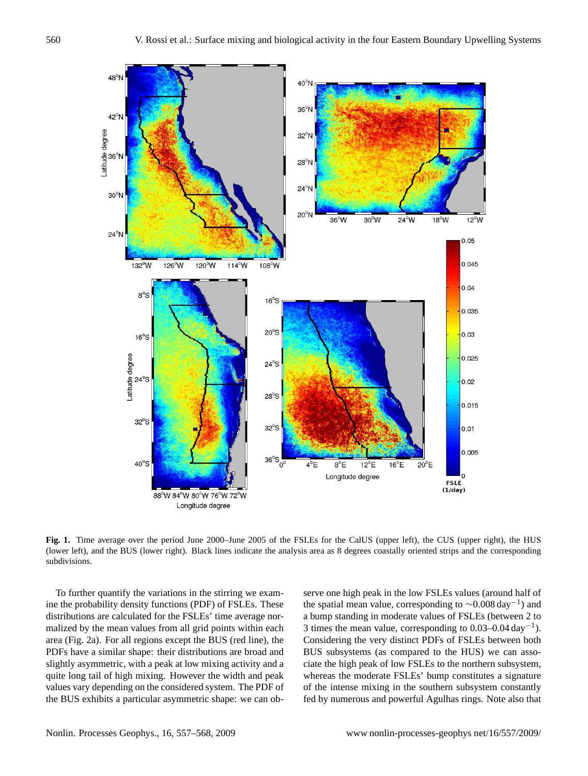

<span id="page-3-0"></span>Fig. 1. Time average over the period June 2000–June 2005 of the FSLEs for the CalUS (upper left), the CUS (upper right), the HUS (lower left), and the BUS (lower right). Black lines indicate the analysis area as 8 degrees coastally oriented strips and the corresponding subdivisions.

To further quantify the variations in the stirring we examine the probability density functions (PDF) of FSLEs. These distributions are calculated for the FSLEs' time average normalized by the mean values from all grid points within each area (Fig. [2a](#page-4-0)). For all regions except the BUS (red line), the PDFs have a similar shape: their distributions are broad and slightly asymmetric, with a peak at low mixing activity and a quite long tail of high mixing. However the width and peak values vary depending on the considered system. The PDF of the BUS exhibits a particular asymmetric shape: we can observe one high peak in the low FSLEs values (around half of the spatial mean value, corresponding to  $\sim$ 0.008 day<sup>-1</sup>) and a bump standing in moderate values of FSLEs (between 2 to 3 times the mean value, corresponding to  $0.03-0.04 \text{ day}^{-1}$ ). Considering the very distinct PDFs of FSLEs between both BUS subsystems (as compared to the HUS) we can associate the high peak of low FSLEs to the northern subsystem, whereas the moderate FSLEs' bump constitutes a signature of the intense mixing in the southern subsystem constantly fed by numerous and powerful Agulhas rings. Note also that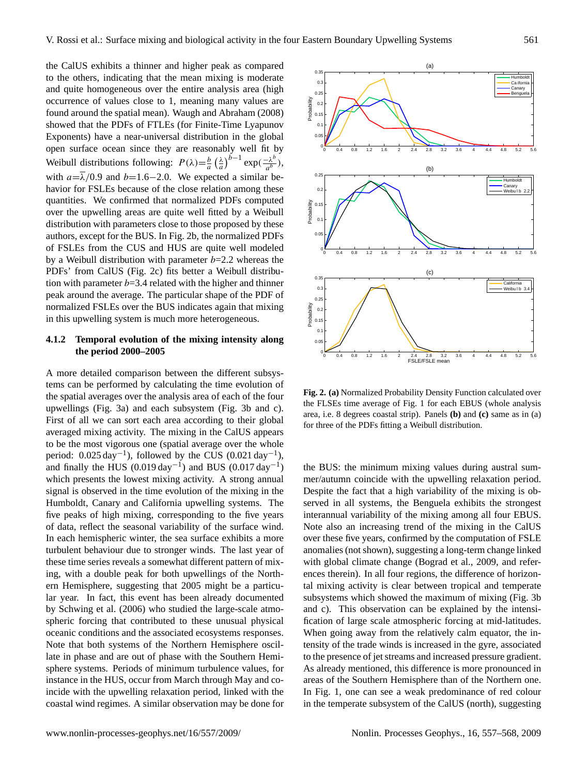the CalUS exhibits a thinner and higher peak as compared to the others, indicating that the mean mixing is moderate and quite homogeneous over the entire analysis area (high occurrence of values close to 1, meaning many values are found around the spatial mean). [Waugh and Abraham \(2008\)](#page-11-7) showed that the PDFs of FTLEs (for Finite-Time Lyapunov Exponents) have a near-universal distribution in the global open surface ocean since they are reasonably well fit by Weibull distributions following:  $P(\lambda) = \frac{b}{a} \left(\frac{\lambda}{a}\right)^{b-1} \exp\left(\frac{-\lambda^b}{a^b}\right)$  $\frac{-\lambda^b}{a^b}),$ with  $a=\overline{\lambda}/0.9$  and  $b=1.6-2.0$ . We expected a similar behavior for FSLEs because of the close relation among these quantities. We confirmed that normalized PDFs computed over the upwelling areas are quite well fitted by a Weibull distribution with parameters close to those proposed by these authors, except for the BUS. In Fig. [2b](#page-4-0), the normalized PDFs of FSLEs from the CUS and HUS are quite well modeled by a Weibull distribution with parameter  $b=2.2$  whereas the PDFs' from CalUS (Fig. [2c](#page-4-0)) fits better a Weibull distribution with parameter  $b=3.4$  related with the higher and thinner peak around the average. The particular shape of the PDF of normalized FSLEs over the BUS indicates again that mixing in this upwelling system is much more heterogeneous.

# **4.1.2 Temporal evolution of the mixing intensity along the period 2000–2005**

A more detailed comparison between the different subsystems can be performed by calculating the time evolution of the spatial averages over the analysis area of each of the four upwellings (Fig. [3a](#page-5-0)) and each subsystem (Fig. [3b](#page-5-0) and c). First of all we can sort each area according to their global averaged mixing activity. The mixing in the CalUS appears to be the most vigorous one (spatial average over the whole period:  $0.025 \text{ day}^{-1}$ ), followed by the CUS  $(0.021 \text{ day}^{-1})$ , and finally the HUS  $(0.019 \text{ day}^{-1})$  and BUS  $(0.017 \text{ day}^{-1})$ which presents the lowest mixing activity. A strong annual signal is observed in the time evolution of the mixing in the Humboldt, Canary and California upwelling systems. The five peaks of high mixing, corresponding to the five years of data, reflect the seasonal variability of the surface wind. In each hemispheric winter, the sea surface exhibits a more turbulent behaviour due to stronger winds. The last year of these time series reveals a somewhat different pattern of mixing, with a double peak for both upwellings of the Northern Hemisphere, suggesting that 2005 might be a particular year. In fact, this event has been already documented by [Schwing et al. \(2006\)](#page-11-8) who studied the large-scale atmospheric forcing that contributed to these unusual physical oceanic conditions and the associated ecosystems responses. Note that both systems of the Northern Hemisphere oscillate in phase and are out of phase with the Southern Hemisphere systems. Periods of minimum turbulence values, for instance in the HUS, occur from March through May and coincide with the upwelling relaxation period, linked with the coastal wind regimes. A similar observation may be done for



<span id="page-4-0"></span>**Fig. 2. (a)** Normalized Probability Density Function calculated over the FLSEs time average of Fig. [1](#page-3-0) for each EBUS (whole analysis area, i.e. 8 degrees coastal strip). Panels **(b)** and **(c)** same as in (a) for three of the PDFs fitting a Weibull distribution.

the BUS: the minimum mixing values during austral summer/autumn coincide with the upwelling relaxation period. Despite the fact that a high variability of the mixing is observed in all systems, the Benguela exhibits the strongest interannual variability of the mixing among all four EBUS. Note also an increasing trend of the mixing in the CalUS over these five years, confirmed by the computation of FSLE anomalies (not shown), suggesting a long-term change linked with global climate change [\(Bograd et al., 2009,](#page-10-17) and references therein). In all four regions, the difference of horizontal mixing activity is clear between tropical and temperate subsystems which showed the maximum of mixing (Fig. [3b](#page-5-0) and c). This observation can be explained by the intensification of large scale atmospheric forcing at mid-latitudes. When going away from the relatively calm equator, the intensity of the trade winds is increased in the gyre, associated to the presence of jet streams and increased pressure gradient. As already mentioned, this difference is more pronounced in areas of the Southern Hemisphere than of the Northern one. In Fig. [1,](#page-3-0) one can see a weak predominance of red colour in the temperate subsystem of the CalUS (north), suggesting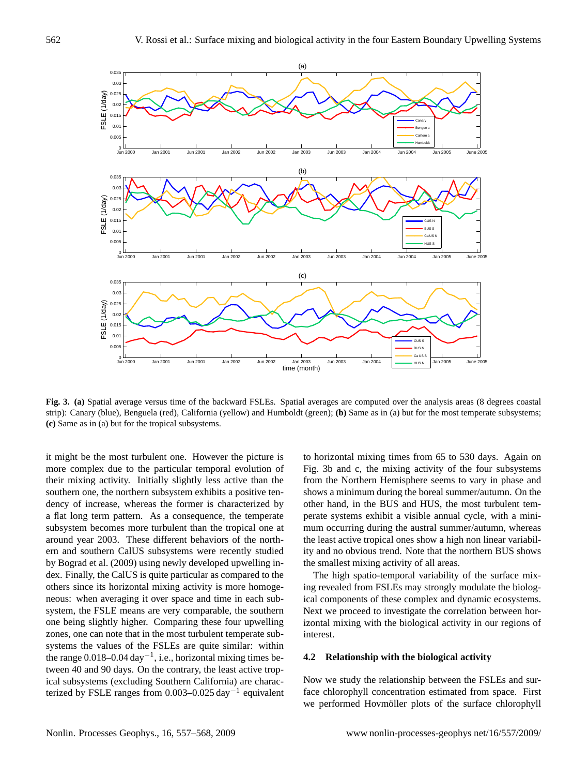

<span id="page-5-0"></span>**Fig. 3. (a)** Spatial average versus time of the backward FSLEs. Spatial averages are computed over the analysis areas (8 degrees coastal strip): Canary (blue), Benguela (red), California (yellow) and Humboldt (green); **(b)** Same as in (a) but for the most temperate subsystems; **(c)** Same as in (a) but for the tropical subsystems.

it might be the most turbulent one. However the picture is more complex due to the particular temporal evolution of their mixing activity. Initially slightly less active than the southern one, the northern subsystem exhibits a positive tendency of increase, whereas the former is characterized by a flat long term pattern. As a consequence, the temperate subsystem becomes more turbulent than the tropical one at around year 2003. These different behaviors of the northern and southern CalUS subsystems were recently studied by [Bograd et al. \(2009\)](#page-10-17) using newly developed upwelling index. Finally, the CalUS is quite particular as compared to the others since its horizontal mixing activity is more homogeneous: when averaging it over space and time in each subsystem, the FSLE means are very comparable, the southern one being slightly higher. Comparing these four upwelling zones, one can note that in the most turbulent temperate subsystems the values of the FSLEs are quite similar: within the range 0.018–0.04 day−<sup>1</sup> , i.e., horizontal mixing times between 40 and 90 days. On the contrary, the least active tropical subsystems (excluding Southern California) are characterized by FSLE ranges from 0.003–0.025 day−<sup>1</sup> equivalent

to horizontal mixing times from 65 to 530 days. Again on Fig. [3b](#page-5-0) and c, the mixing activity of the four subsystems from the Northern Hemisphere seems to vary in phase and shows a minimum during the boreal summer/autumn. On the other hand, in the BUS and HUS, the most turbulent temperate systems exhibit a visible annual cycle, with a minimum occurring during the austral summer/autumn, whereas the least active tropical ones show a high non linear variability and no obvious trend. Note that the northern BUS shows the smallest mixing activity of all areas.

The high spatio-temporal variability of the surface mixing revealed from FSLEs may strongly modulate the biological components of these complex and dynamic ecosystems. Next we proceed to investigate the correlation between horizontal mixing with the biological activity in our regions of interest.

## **4.2 Relationship with the biological activity**

Now we study the relationship between the FSLEs and surface chlorophyll concentration estimated from space. First we performed Hovmöller plots of the surface chlorophyll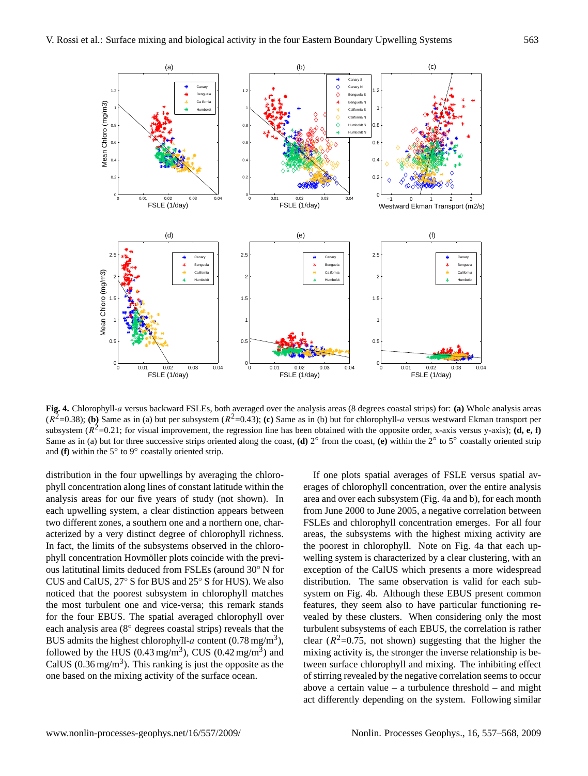

<span id="page-6-0"></span>**Fig. 4.** Chlorophyll-a versus backward FSLEs, both averaged over the analysis areas (8 degrees coastal strips) for: **(a)** Whole analysis areas  $(R^2=0.38)$ ; **(b)** Same as in (a) but per subsystem  $(R^2=0.43)$ ; **(c)** Same as in (b) but for chlorophyll-*a* versus westward Ekman transport per subsystem  $(R^2=0.21$ ; for visual improvement, the regression line has been obtained with the opposite order, x-axis versus y-axis); **(d, e, f)** Same as in (a) but for three successive strips oriented along the coast, **(d)**  $2^\circ$  from the coast, **(e)** within the  $2^\circ$  to  $5^\circ$  coastally oriented strip and  $(f)$  within the 5 $\degree$  to 9 $\degree$  coastally oriented strip.

distribution in the four upwellings by averaging the chlorophyll concentration along lines of constant latitude within the analysis areas for our five years of study (not shown). In each upwelling system, a clear distinction appears between two different zones, a southern one and a northern one, characterized by a very distinct degree of chlorophyll richness. In fact, the limits of the subsystems observed in the chlorophyll concentration Hovmöller plots coincide with the previous latitutinal limits deduced from FSLEs (around 30◦ N for CUS and CalUS, 27◦ S for BUS and 25◦ S for HUS). We also noticed that the poorest subsystem in chlorophyll matches the most turbulent one and vice-versa; this remark stands for the four EBUS. The spatial averaged chlorophyll over each analysis area (8◦ degrees coastal strips) reveals that the BUS admits the highest chlorophyll-a content  $(0.78 \text{ mg/m}^3)$ , followed by the HUS (0.43 mg/m<sup>3</sup>), CUS (0.42 mg/m<sup>3</sup>) and CalUS ( $0.36$  mg/m<sup>3</sup>). This ranking is just the opposite as the one based on the mixing activity of the surface ocean.

If one plots spatial averages of FSLE versus spatial averages of chlorophyll concentration, over the entire analysis area and over each subsystem (Fig. [4a](#page-6-0) and b), for each month from June 2000 to June 2005, a negative correlation between FSLEs and chlorophyll concentration emerges. For all four areas, the subsystems with the highest mixing activity are the poorest in chlorophyll. Note on Fig. [4a](#page-6-0) that each upwelling system is characterized by a clear clustering, with an exception of the CalUS which presents a more widespread distribution. The same observation is valid for each subsystem on Fig. [4b](#page-6-0). Although these EBUS present common features, they seem also to have particular functioning revealed by these clusters. When considering only the most turbulent subsystems of each EBUS, the correlation is rather clear ( $R^2$ =0.75, not shown) suggesting that the higher the mixing activity is, the stronger the inverse relationship is between surface chlorophyll and mixing. The inhibiting effect of stirring revealed by the negative correlation seems to occur above a certain value – a turbulence threshold – and might act differently depending on the system. Following similar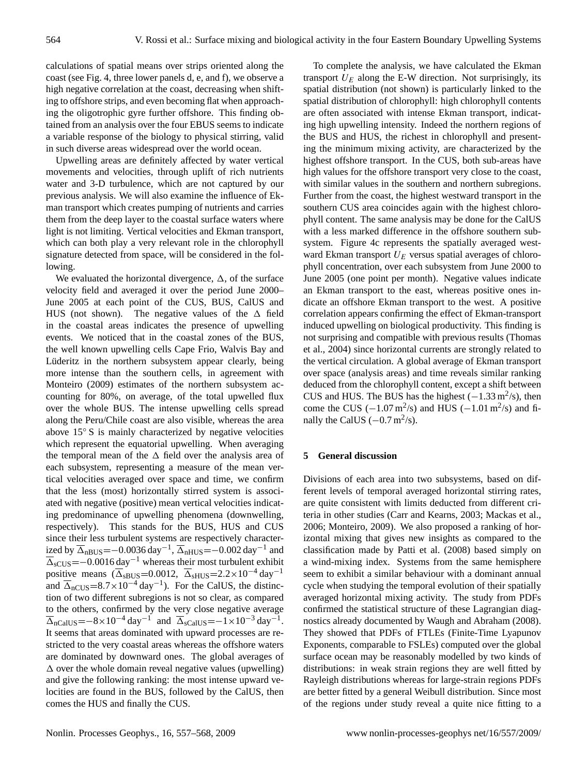calculations of spatial means over strips oriented along the coast (see Fig. [4,](#page-6-0) three lower panels d, e, and f), we observe a high negative correlation at the coast, decreasing when shifting to offshore strips, and even becoming flat when approaching the oligotrophic gyre further offshore. This finding obtained from an analysis over the four EBUS seems to indicate a variable response of the biology to physical stirring, valid in such diverse areas widespread over the world ocean.

Upwelling areas are definitely affected by water vertical movements and velocities, through uplift of rich nutrients water and 3-D turbulence, which are not captured by our previous analysis. We will also examine the influence of Ekman transport which creates pumping of nutrients and carries them from the deep layer to the coastal surface waters where light is not limiting. Vertical velocities and Ekman transport, which can both play a very relevant role in the chlorophyll signature detected from space, will be considered in the following.

We evaluated the horizontal divergence,  $\Delta$ , of the surface velocity field and averaged it over the period June 2000– June 2005 at each point of the CUS, BUS, CalUS and HUS (not shown). The negative values of the  $\Delta$  field in the coastal areas indicates the presence of upwelling events. We noticed that in the coastal zones of the BUS, the well known upwelling cells Cape Frio, Walvis Bay and Lüderitz in the northern subsystem appear clearly, being more intense than the southern cells, in agreement with [Monteiro](#page-10-18) [\(2009\)](#page-10-18) estimates of the northern subsystem accounting for 80%, on average, of the total upwelled flux over the whole BUS. The intense upwelling cells spread along the Peru/Chile coast are also visible, whereas the area above 15◦ S is mainly characterized by negative velocities which represent the equatorial upwelling. When averaging the temporal mean of the  $\Delta$  field over the analysis area of each subsystem, representing a measure of the mean vertical velocities averaged over space and time, we confirm that the less (most) horizontally stirred system is associated with negative (positive) mean vertical velocities indicating predominance of upwelling phenomena (downwelling, respectively). This stands for the BUS, HUS and CUS since their less turbulent systems are respectively characterized by  $\overline{\Delta}_{\text{nBUS}}$ =-0.0036 day<sup>-1</sup>,  $\overline{\Delta}_{\text{nHUS}}$ =-0.002 day<sup>-1</sup> and  $\overline{\Delta}_{sCUS}$ =−0.0016 day<sup>−1</sup> whereas their most turbulent exhibit positive means ( $\overline{\Delta}_{sBUS}=0.0012$ ,  $\overline{\Delta}_{sHUS}=2.2\times10^{-4}$  day<sup>-1</sup> and  $\overline{\Delta}_{nCUS}=8.7\times10^{-4}$  day<sup>-1</sup>). For the CalUS, the distinction of two different subregions is not so clear, as compared to the others, confirmed by the very close negative average  $\overline{\Delta}_{\text{nCalUS}} = -8 \times 10^{-4} \text{ day}^{-1}$  and  $\overline{\Delta}_{\text{sCalUS}} = -1 \times 10^{-3} \text{ day}^{-1}$ . It seems that areas dominated with upward processes are restricted to the very coastal areas whereas the offshore waters are dominated by downward ones. The global averages of  $\Delta$  over the whole domain reveal negative values (upwelling) and give the following ranking: the most intense upward velocities are found in the BUS, followed by the CalUS, then comes the HUS and finally the CUS.

To complete the analysis, we have calculated the Ekman transport  $U_E$  along the E-W direction. Not surprisingly, its spatial distribution (not shown) is particularly linked to the spatial distribution of chlorophyll: high chlorophyll contents are often associated with intense Ekman transport, indicating high upwelling intensity. Indeed the northern regions of the BUS and HUS, the richest in chlorophyll and presenting the minimum mixing activity, are characterized by the highest offshore transport. In the CUS, both sub-areas have high values for the offshore transport very close to the coast, with similar values in the southern and northern subregions. Further from the coast, the highest westward transport in the southern CUS area coincides again with the highest chlorophyll content. The same analysis may be done for the CalUS with a less marked difference in the offshore southern subsystem. Figure [4c](#page-6-0) represents the spatially averaged westward Ekman transport  $U_E$  versus spatial averages of chlorophyll concentration, over each subsystem from June 2000 to June 2005 (one point per month). Negative values indicate an Ekman transport to the east, whereas positive ones indicate an offshore Ekman transport to the west. A positive correlation appears confirming the effect of Ekman-transport induced upwelling on biological productivity. This finding is not surprising and compatible with previous results [\(Thomas](#page-11-9) [et al., 2004\)](#page-11-9) since horizontal currents are strongly related to the vertical circulation. A global average of Ekman transport over space (analysis areas) and time reveals similar ranking deduced from the chlorophyll content, except a shift between CUS and HUS. The BUS has the highest  $(-1.33 \text{ m}^2/\text{s})$ , then come the CUS  $(-1.07 \,\text{m}^2/\text{s})$  and HUS  $(-1.01 \,\text{m}^2/\text{s})$  and finally the CalUS  $(-0.7 \text{ m}^2/\text{s})$ .

#### **5 General discussion**

Divisions of each area into two subsystems, based on different levels of temporal averaged horizontal stirring rates, are quite consistent with limits deducted from different criteria in other studies [\(Carr and Kearns, 2003;](#page-10-6) [Mackas et al.,](#page-10-5) [2006;](#page-10-5) [Monteiro, 2009\)](#page-10-18). We also proposed a ranking of horizontal mixing that gives new insights as compared to the classification made by [Patti et al. \(2008\)](#page-11-2) based simply on a wind-mixing index. Systems from the same hemisphere seem to exhibit a similar behaviour with a dominant annual cycle when studying the temporal evolution of their spatially averaged horizontal mixing activity. The study from PDFs confirmed the statistical structure of these Lagrangian diagnostics already documented by [Waugh and Abraham \(2008\)](#page-11-7). They showed that PDFs of FTLEs (Finite-Time Lyapunov Exponents, comparable to FSLEs) computed over the global surface ocean may be reasonably modelled by two kinds of distributions: in weak strain regions they are well fitted by Rayleigh distributions whereas for large-strain regions PDFs are better fitted by a general Weibull distribution. Since most of the regions under study reveal a quite nice fitting to a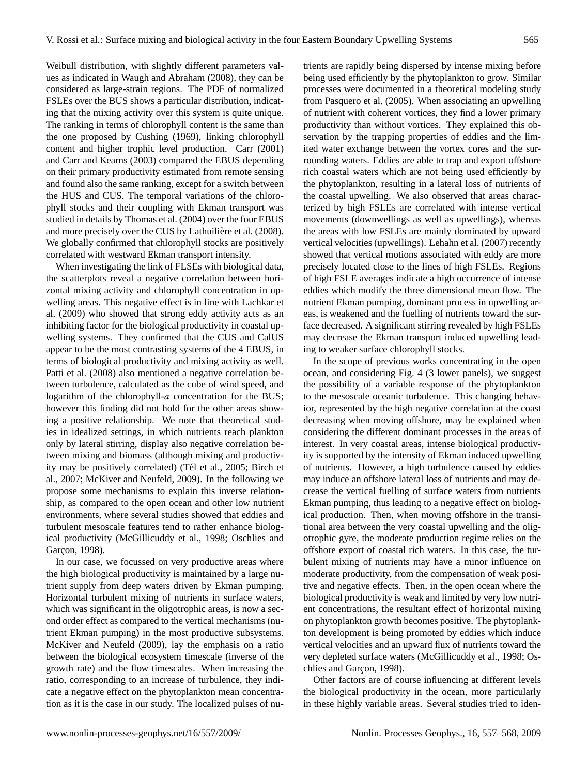Weibull distribution, with slightly different parameters values as indicated in [Waugh and Abraham](#page-11-7) [\(2008\)](#page-11-7), they can be considered as large-strain regions. The PDF of normalized FSLEs over the BUS shows a particular distribution, indicating that the mixing activity over this system is quite unique. The ranking in terms of chlorophyll content is the same than the one proposed by [Cushing](#page-10-19) [\(1969\)](#page-10-19), linking chlorophyll content and higher trophic level production. [Carr](#page-10-20) [\(2001\)](#page-10-20) and [Carr and Kearns](#page-10-6) [\(2003\)](#page-10-6) compared the EBUS depending on their primary productivity estimated from remote sensing and found also the same ranking, except for a switch between the HUS and CUS. The temporal variations of the chlorophyll stocks and their coupling with Ekman transport was studied in details by [Thomas et al.](#page-11-9) [\(2004\)](#page-11-9) over the four EBUS and more precisely over the CUS by Lathuilière et al.  $(2008)$ . We globally confirmed that chlorophyll stocks are positively correlated with westward Ekman transport intensity.

When investigating the link of FLSEs with biological data, the scatterplots reveal a negative correlation between horizontal mixing activity and chlorophyll concentration in upwelling areas. This negative effect is in line with [Lachkar et](#page-10-22) [al.](#page-10-22) [\(2009\)](#page-10-22) who showed that strong eddy activity acts as an inhibiting factor for the biological productivity in coastal upwelling systems. They confirmed that the CUS and CalUS appear to be the most contrasting systems of the 4 EBUS, in terms of biological productivity and mixing activity as well. [Patti et al.](#page-11-2) [\(2008\)](#page-11-2) also mentioned a negative correlation between turbulence, calculated as the cube of wind speed, and logarithm of the chlorophyll-a concentration for the BUS; however this finding did not hold for the other areas showing a positive relationship. We note that theoretical studies in idealized settings, in which nutrients reach plankton only by lateral stirring, display also negative correlation between mixing and biomass (although mixing and productiv-ity may be positively correlated) (Tél et al., [2005;](#page-11-10) [Birch et](#page-10-23) [al.,](#page-10-23) [2007;](#page-10-23) [McKiver and Neufeld,](#page-10-24) [2009\)](#page-10-24). In the following we propose some mechanisms to explain this inverse relationship, as compared to the open ocean and other low nutrient environments, where several studies showed that eddies and turbulent mesoscale features tend to rather enhance biological productivity [\(McGillicuddy et al.,](#page-10-0) [1998;](#page-10-0) [Oschlies and](#page-10-1) Garçon, [1998\)](#page-10-1).

In our case, we focussed on very productive areas where the high biological productivity is maintained by a large nutrient supply from deep waters driven by Ekman pumping. Horizontal turbulent mixing of nutrients in surface waters, which was significant in the oligotrophic areas, is now a second order effect as compared to the vertical mechanisms (nutrient Ekman pumping) in the most productive subsystems. [McKiver and Neufeld](#page-10-24) [\(2009\)](#page-10-24), lay the emphasis on a ratio between the biological ecosystem timescale (inverse of the growth rate) and the flow timescales. When increasing the ratio, corresponding to an increase of turbulence, they indicate a negative effect on the phytoplankton mean concentration as it is the case in our study. The localized pulses of nutrients are rapidly being dispersed by intense mixing before being used efficiently by the phytoplankton to grow. Similar processes were documented in a theoretical modeling study from [Pasquero et al.](#page-11-11) [\(2005\)](#page-11-11). When associating an upwelling of nutrient with coherent vortices, they find a lower primary productivity than without vortices. They explained this observation by the trapping properties of eddies and the limited water exchange between the vortex cores and the surrounding waters. Eddies are able to trap and export offshore rich coastal waters which are not being used efficiently by the phytoplankton, resulting in a lateral loss of nutrients of the coastal upwelling. We also observed that areas characterized by high FSLEs are correlated with intense vertical movements (downwellings as well as upwellings), whereas the areas with low FSLEs are mainly dominated by upward vertical velocities (upwellings). [Lehahn et al.](#page-10-14) [\(2007\)](#page-10-14) recently showed that vertical motions associated with eddy are more precisely located close to the lines of high FSLEs. Regions of high FSLE averages indicate a high occurrence of intense eddies which modify the three dimensional mean flow. The nutrient Ekman pumping, dominant process in upwelling areas, is weakened and the fuelling of nutrients toward the surface decreased. A significant stirring revealed by high FSLEs may decrease the Ekman transport induced upwelling leading to weaker surface chlorophyll stocks.

In the scope of previous works concentrating in the open ocean, and considering Fig. [4](#page-6-0) (3 lower panels), we suggest the possibility of a variable response of the phytoplankton to the mesoscale oceanic turbulence. This changing behavior, represented by the high negative correlation at the coast decreasing when moving offshore, may be explained when considering the different dominant processes in the areas of interest. In very coastal areas, intense biological productivity is supported by the intensity of Ekman induced upwelling of nutrients. However, a high turbulence caused by eddies may induce an offshore lateral loss of nutrients and may decrease the vertical fuelling of surface waters from nutrients Ekman pumping, thus leading to a negative effect on biological production. Then, when moving offshore in the transitional area between the very coastal upwelling and the oligotrophic gyre, the moderate production regime relies on the offshore export of coastal rich waters. In this case, the turbulent mixing of nutrients may have a minor influence on moderate productivity, from the compensation of weak positive and negative effects. Then, in the open ocean where the biological productivity is weak and limited by very low nutrient concentrations, the resultant effect of horizontal mixing on phytoplankton growth becomes positive. The phytoplankton development is being promoted by eddies which induce vertical velocities and an upward flux of nutrients toward the very depleted surface waters [\(McGillicuddy et al.,](#page-10-0) [1998;](#page-10-0) [Os-](#page-10-1)chlies and Garçon, [1998\)](#page-10-1).

Other factors are of course influencing at different levels the biological productivity in the ocean, more particularly in these highly variable areas. Several studies tried to iden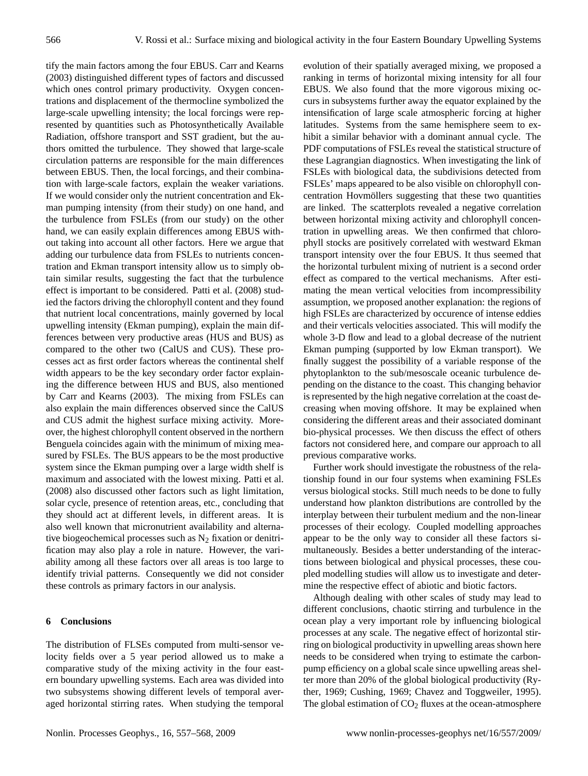tify the main factors among the four EBUS. [Carr and Kearns](#page-10-6) [\(2003\)](#page-10-6) distinguished different types of factors and discussed which ones control primary productivity. Oxygen concentrations and displacement of the thermocline symbolized the large-scale upwelling intensity; the local forcings were represented by quantities such as Photosynthetically Available Radiation, offshore transport and SST gradient, but the authors omitted the turbulence. They showed that large-scale circulation patterns are responsible for the main differences between EBUS. Then, the local forcings, and their combination with large-scale factors, explain the weaker variations. If we would consider only the nutrient concentration and Ekman pumping intensity (from their study) on one hand, and the turbulence from FSLEs (from our study) on the other hand, we can easily explain differences among EBUS without taking into account all other factors. Here we argue that adding our turbulence data from FSLEs to nutrients concentration and Ekman transport intensity allow us to simply obtain similar results, suggesting the fact that the turbulence effect is important to be considered. [Patti et al. \(2008\)](#page-11-2) studied the factors driving the chlorophyll content and they found that nutrient local concentrations, mainly governed by local upwelling intensity (Ekman pumping), explain the main differences between very productive areas (HUS and BUS) as compared to the other two (CalUS and CUS). These processes act as first order factors whereas the continental shelf width appears to be the key secondary order factor explaining the difference between HUS and BUS, also mentioned by [Carr and Kearns \(2003\)](#page-10-6). The mixing from FSLEs can also explain the main differences observed since the CalUS and CUS admit the highest surface mixing activity. Moreover, the highest chlorophyll content observed in the northern Benguela coincides again with the minimum of mixing measured by FSLEs. The BUS appears to be the most productive system since the Ekman pumping over a large width shelf is maximum and associated with the lowest mixing. [Patti et al.](#page-11-2) [\(2008\)](#page-11-2) also discussed other factors such as light limitation, solar cycle, presence of retention areas, etc., concluding that they should act at different levels, in different areas. It is also well known that micronutrient availability and alternative biogeochemical processes such as  $N_2$  fixation or denitrification may also play a role in nature. However, the variability among all these factors over all areas is too large to identify trivial patterns. Consequently we did not consider these controls as primary factors in our analysis.

#### **6 Conclusions**

The distribution of FLSEs computed from multi-sensor velocity fields over a 5 year period allowed us to make a comparative study of the mixing activity in the four eastern boundary upwelling systems. Each area was divided into two subsystems showing different levels of temporal averaged horizontal stirring rates. When studying the temporal evolution of their spatially averaged mixing, we proposed a ranking in terms of horizontal mixing intensity for all four EBUS. We also found that the more vigorous mixing occurs in subsystems further away the equator explained by the intensification of large scale atmospheric forcing at higher latitudes. Systems from the same hemisphere seem to exhibit a similar behavior with a dominant annual cycle. The PDF computations of FSLEs reveal the statistical structure of these Lagrangian diagnostics. When investigating the link of FSLEs with biological data, the subdivisions detected from FSLEs' maps appeared to be also visible on chlorophyll concentration Hovmöllers suggesting that these two quantities are linked. The scatterplots revealed a negative correlation between horizontal mixing activity and chlorophyll concentration in upwelling areas. We then confirmed that chlorophyll stocks are positively correlated with westward Ekman transport intensity over the four EBUS. It thus seemed that the horizontal turbulent mixing of nutrient is a second order effect as compared to the vertical mechanisms. After estimating the mean vertical velocities from incompressibility assumption, we proposed another explanation: the regions of high FSLEs are characterized by occurence of intense eddies and their verticals velocities associated. This will modify the whole 3-D flow and lead to a global decrease of the nutrient Ekman pumping (supported by low Ekman transport). We finally suggest the possibility of a variable response of the phytoplankton to the sub/mesoscale oceanic turbulence depending on the distance to the coast. This changing behavior is represented by the high negative correlation at the coast decreasing when moving offshore. It may be explained when considering the different areas and their associated dominant bio-physical processes. We then discuss the effect of others factors not considered here, and compare our approach to all previous comparative works.

Further work should investigate the robustness of the relationship found in our four systems when examining FSLEs versus biological stocks. Still much needs to be done to fully understand how plankton distributions are controlled by the interplay between their turbulent medium and the non-linear processes of their ecology. Coupled modelling approaches appear to be the only way to consider all these factors simultaneously. Besides a better understanding of the interactions between biological and physical processes, these coupled modelling studies will allow us to investigate and determine the respective effect of abiotic and biotic factors.

Although dealing with other scales of study may lead to different conclusions, chaotic stirring and turbulence in the ocean play a very important role by influencing biological processes at any scale. The negative effect of horizontal stirring on biological productivity in upwelling areas shown here needs to be considered when trying to estimate the carbonpump efficiency on a global scale since upwelling areas shelter more than 20% of the global biological productivity [\(Ry](#page-11-12)[ther, 1969;](#page-11-12) [Cushing, 1969;](#page-10-19) [Chavez and Toggweiler, 1995\)](#page-10-25). The global estimation of  $CO<sub>2</sub>$  fluxes at the ocean-atmosphere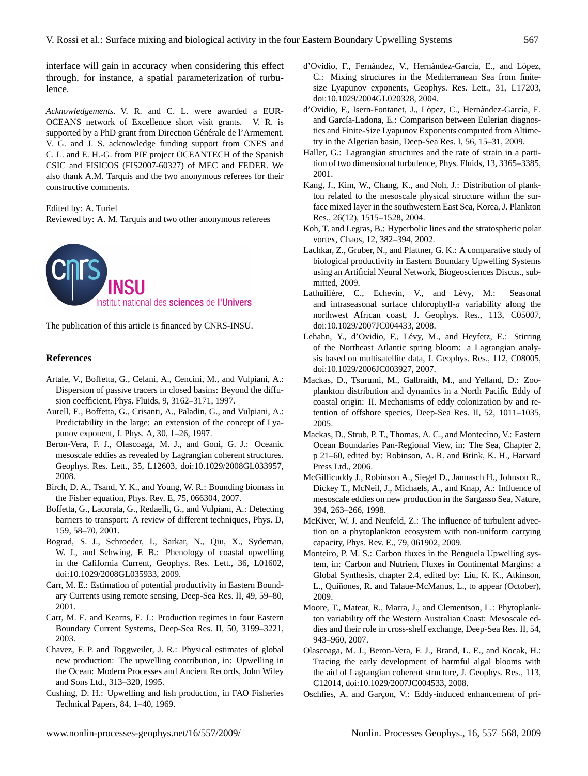interface will gain in accuracy when considering this effect through, for instance, a spatial parameterization of turbulence.

*Acknowledgements.* V. R. and C. L. were awarded a EUR-OCEANS network of Excellence short visit grants. V. R. is supported by a PhD grant from Direction Générale de l'Armement. V. G. and J. S. acknowledge funding support from CNES and C. L. and E. H.-G. from PIF project OCEANTECH of the Spanish CSIC and FISICOS (FIS2007-60327) of MEC and FEDER. We also thank A.M. Tarquis and the two anonymous referees for their constructive comments.

Edited by: A. Turiel

Reviewed by: A. M. Tarquis and two other anonymous referees

Institut national des sciences de l'Univers

The publication of this article is financed by CNRS-INSU.

## **References**

- <span id="page-10-11"></span>Artale, V., Boffetta, G., Celani, A., Cencini, M., and Vulpiani, A.: Dispersion of passive tracers in closed basins: Beyond the diffusion coefficient, Phys. Fluids, 9, 3162–3171, 1997.
- <span id="page-10-7"></span>Aurell, E., Boffetta, G., Crisanti, A., Paladin, G., and Vulpiani, A.: Predictability in the large: an extension of the concept of Lyapunov exponent, J. Phys. A, 30, 1–26, 1997.
- <span id="page-10-10"></span>Beron-Vera, F. J., Olascoaga, M. J., and Goni, G. J.: Oceanic mesoscale eddies as revealed by Lagrangian coherent structures. Geophys. Res. Lett., 35, L12603, doi:10.1029/2008GL033957, 2008.
- <span id="page-10-23"></span>Birch, D. A., Tsand, Y. K., and Young, W. R.: Bounding biomass in the Fisher equation, Phys. Rev. E, 75, 066304, 2007.
- <span id="page-10-12"></span>Boffetta, G., Lacorata, G., Redaelli, G., and Vulpiani, A.: Detecting barriers to transport: A review of different techniques, Phys. D, 159, 58–70, 2001.
- <span id="page-10-17"></span>Bograd, S. J., Schroeder, I., Sarkar, N., Qiu, X., Sydeman, W. J., and Schwing, F. B.: Phenology of coastal upwelling in the California Current, Geophys. Res. Lett., 36, L01602, doi:10.1029/2008GL035933, 2009.
- <span id="page-10-20"></span>Carr, M. E.: Estimation of potential productivity in Eastern Boundary Currents using remote sensing, Deep-Sea Res. II, 49, 59–80, 2001.
- <span id="page-10-6"></span>Carr, M. E. and Kearns, E. J.: Production regimes in four Eastern Boundary Current Systems, Deep-Sea Res. II, 50, 3199–3221, 2003.
- <span id="page-10-25"></span>Chavez, F. P. and Toggweiler, J. R.: Physical estimates of global new production: The upwelling contribution, in: Upwelling in the Ocean: Modern Processes and Ancient Records, John Wiley and Sons Ltd., 313–320, 1995.
- <span id="page-10-19"></span>Cushing, D. H.: Upwelling and fish production, in FAO Fisheries Technical Papers, 84, 1–40, 1969.
- <span id="page-10-8"></span>d'Ovidio, F., Fernández, V., Hernández-García, E., and López, C.: Mixing structures in the Mediterranean Sea from finitesize Lyapunov exponents, Geophys. Res. Lett., 31, L17203, doi:10.1029/2004GL020328, 2004.
- <span id="page-10-15"></span>d'Ovidio, F., Isern-Fontanet, J., López, C., Hernández-García, E. and García-Ladona, E.: Comparison between Eulerian diagnostics and Finite-Size Lyapunov Exponents computed from Altimetry in the Algerian basin, Deep-Sea Res. I, 56, 15–31, 2009.
- <span id="page-10-9"></span>Haller, G.: Lagrangian structures and the rate of strain in a partition of two dimensional turbulence, Phys. Fluids, 13, 3365–3385, 2001.
- <span id="page-10-2"></span>Kang, J., Kim, W., Chang, K., and Noh, J.: Distribution of plankton related to the mesoscale physical structure within the surface mixed layer in the southwestern East Sea, Korea, J. Plankton Res., 26(12), 1515–1528, 2004.
- <span id="page-10-13"></span>Koh, T. and Legras, B.: Hyperbolic lines and the stratospheric polar vortex, Chaos, 12, 382–394, 2002.
- <span id="page-10-22"></span>Lachkar, Z., Gruber, N., and Plattner, G. K.: A comparative study of biological productivity in Eastern Boundary Upwelling Systems using an Artificial Neural Network, Biogeosciences Discus., submitted, 2009.
- <span id="page-10-21"></span>Lathuilière, C., Echevin, V., and Lévy, M.: Seasonal and intraseasonal surface chlorophyll-a variability along the northwest African coast, J. Geophys. Res., 113, C05007, doi:10.1029/2007JC004433, 2008.
- <span id="page-10-14"></span>Lehahn, Y., d'Ovidio, F., Lévy, M., and Heyfetz, E.: Stirring of the Northeast Atlantic spring bloom: a Lagrangian analysis based on multisatellite data, J. Geophys. Res., 112, C08005, doi:10.1029/2006JC003927, 2007.
- <span id="page-10-3"></span>Mackas, D., Tsurumi, M., Galbraith, M., and Yelland, D.: Zooplankton distribution and dynamics in a North Pacific Eddy of coastal origin: II. Mechanisms of eddy colonization by and retention of offshore species, Deep-Sea Res. II, 52, 1011–1035, 2005.
- <span id="page-10-5"></span>Mackas, D., Strub, P. T., Thomas, A. C., and Montecino, V.: Eastern Ocean Boundaries Pan-Regional View, in: The Sea, Chapter 2, p 21–60, edited by: Robinson, A. R. and Brink, K. H., Harvard Press Ltd., 2006.
- <span id="page-10-0"></span>McGillicuddy J., Robinson A., Siegel D., Jannasch H., Johnson R., Dickey T., McNeil, J., Michaels, A., and Knap, A.: Influence of mesoscale eddies on new production in the Sargasso Sea, Nature, 394, 263–266, 1998.
- <span id="page-10-24"></span>McKiver, W. J. and Neufeld, Z.: The influence of turbulent advection on a phytoplankton ecosystem with non-uniform carrying capacity, Phys. Rev. E., 79, 061902, 2009.
- <span id="page-10-18"></span>Monteiro, P. M. S.: Carbon fluxes in the Benguela Upwelling system, in: Carbon and Nutrient Fluxes in Continental Margins: a Global Synthesis, chapter 2.4, edited by: Liu, K. K., Atkinson, L., Quiñones, R. and Talaue-McManus, L., to appear (October), 2009.
- <span id="page-10-4"></span>Moore, T., Matear, R., Marra, J., and Clementson, L.: Phytoplankton variability off the Western Australian Coast: Mesoscale eddies and their role in cross-shelf exchange, Deep-Sea Res. II, 54, 943–960, 2007.
- <span id="page-10-16"></span>Olascoaga, M. J., Beron-Vera, F. J., Brand, L. E., and Kocak, H.: Tracing the early development of harmful algal blooms with the aid of Lagrangian coherent structure, J. Geophys. Res., 113, C12014, doi:10.1029/2007JC004533, 2008.
- <span id="page-10-1"></span>Oschlies, A. and Garçon, V.: Eddy-induced enhancement of pri-